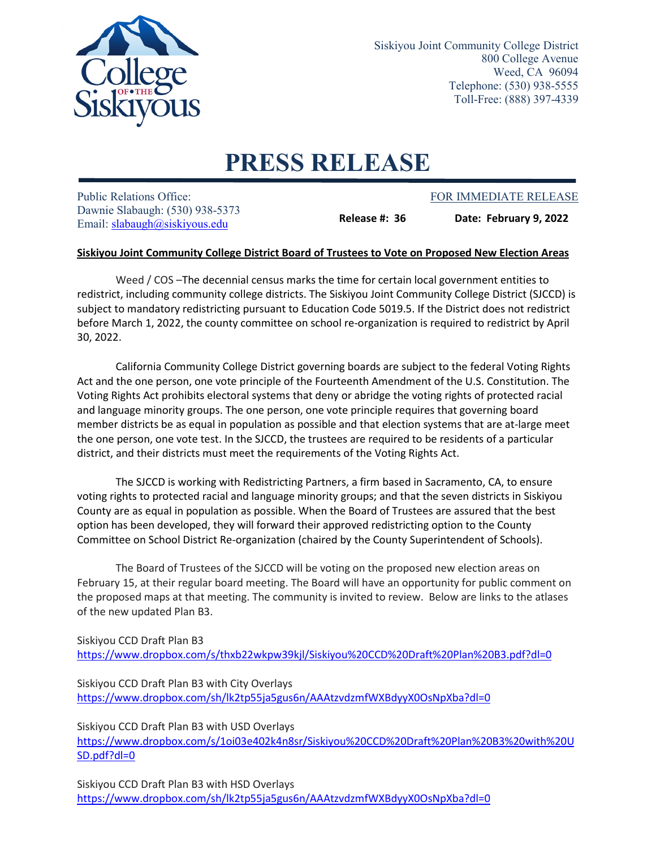

Siskiyou Joint Community College District 800 College Avenue Weed, CA 96094 Telephone: (530) 938-5555 Toll-Free: (888) 397-4339

## **PRESS RELEASE**

Public Relations Office: The Public Relations Office: FOR IMMEDIATE RELEASE Dawnie Slabaugh: (530) 938-5373 Email: [slabaugh@siskiyous.edu](mailto:slabaugh@siskiyous.edu)

**Release #: 36 Date: February 9, 2022**

## **Siskiyou Joint Community College District Board of Trustees to Vote on Proposed New Election Areas**

Weed / COS –The decennial census marks the time for certain local government entities to redistrict, including community college districts. The Siskiyou Joint Community College District (SJCCD) is subject to mandatory redistricting pursuant to Education Code 5019.5. If the District does not redistrict before March 1, 2022, the county committee on school re-organization is required to redistrict by April 30, 2022.

California Community College District governing boards are subject to the federal Voting Rights Act and the one person, one vote principle of the Fourteenth Amendment of the U.S. Constitution. The Voting Rights Act prohibits electoral systems that deny or abridge the voting rights of protected racial and language minority groups. The one person, one vote principle requires that governing board member districts be as equal in population as possible and that election systems that are at-large meet the one person, one vote test. In the SJCCD, the trustees are required to be residents of a particular district, and their districts must meet the requirements of the Voting Rights Act.

The SJCCD is working with Redistricting Partners, a firm based in Sacramento, CA, to ensure voting rights to protected racial and language minority groups; and that the seven districts in Siskiyou County are as equal in population as possible. When the Board of Trustees are assured that the best option has been developed, they will forward their approved redistricting option to the County Committee on School District Re-organization (chaired by the County Superintendent of Schools).

The Board of Trustees of the SJCCD will be voting on the proposed new election areas on February 15, at their regular board meeting. The Board will have an opportunity for public comment on the proposed maps at that meeting. The community is invited to review. Below are links to the atlases of the new updated Plan B3.

Siskiyou CCD Draft Plan B3 <https://www.dropbox.com/s/thxb22wkpw39kjl/Siskiyou%20CCD%20Draft%20Plan%20B3.pdf?dl=0>

Siskiyou CCD Draft Plan B3 with City Overlays <https://www.dropbox.com/sh/lk2tp55ja5gus6n/AAAtzvdzmfWXBdyyX0OsNpXba?dl=0>

Siskiyou CCD Draft Plan B3 with USD Overlays [https://www.dropbox.com/s/1oi03e402k4n8sr/Siskiyou%20CCD%20Draft%20Plan%20B3%20with%20U](https://www.dropbox.com/s/1oi03e402k4n8sr/Siskiyou%20CCD%20Draft%20Plan%20B3%20with%20USD.pdf?dl=0) [SD.pdf?dl=0](https://www.dropbox.com/s/1oi03e402k4n8sr/Siskiyou%20CCD%20Draft%20Plan%20B3%20with%20USD.pdf?dl=0)

Siskiyou CCD Draft Plan B3 with HSD Overlays <https://www.dropbox.com/sh/lk2tp55ja5gus6n/AAAtzvdzmfWXBdyyX0OsNpXba?dl=0>